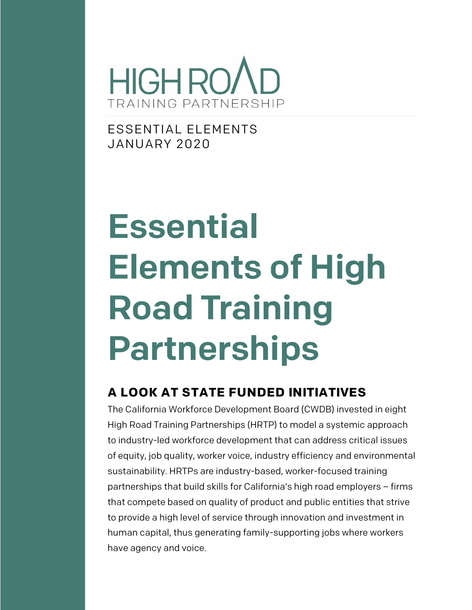

ESSENTIAL ELEMENTS JANUARY 2020

# Essential Elements of High Road Training Partnerships

#### **A LOOK AT STATE FUNDED INITIATIVES**

The California Workforce Development Board (CWDB) invested in eight High Road Training Partnerships (HRTP) to model a systemic approach to industry-led workforce development that can address critical issues of equity, job quality, worker voice, industry efficiency and environmental sustainability. HRTPs are industry-based, worker-focused training partnerships that build skills for California's high road employers – firms that compete based on quality of product and public entities that strive to provide a high level of service through innovation and investment in human capital, thus generating family-supporting jobs where workers have agency and voice.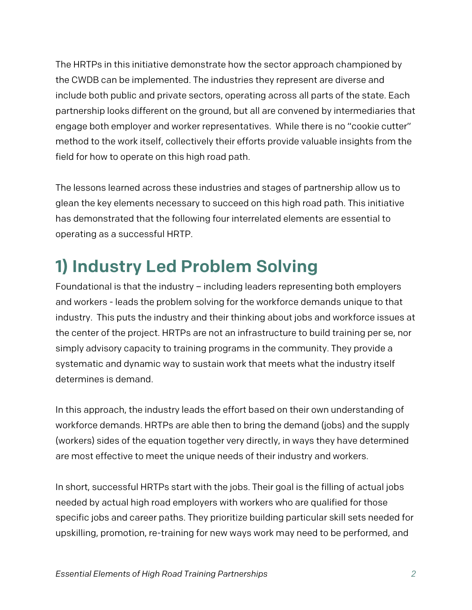The HRTPs in this initiative demonstrate how the sector approach championed by the CWDB can be implemented. The industries they represent are diverse and include both public and private sectors, operating across all parts of the state. Each partnership looks different on the ground, but all are convened by intermediaries that engage both employer and worker representatives. While there is no "cookie cutter" method to the work itself, collectively their efforts provide valuable insights from the field for how to operate on this high road path.

The lessons learned across these industries and stages of partnership allow us to glean the key elements necessary to succeed on this high road path. This initiative has demonstrated that the following four interrelated elements are essential to operating as a successful HRTP.

## 1) Industry Led Problem Solving

Foundational is that the industry – including leaders representing both employers and workers - leads the problem solving for the workforce demands unique to that industry. This puts the industry and their thinking about jobs and workforce issues at the center of the project. HRTPs are not an infrastructure to build training per se, nor simply advisory capacity to training programs in the community. They provide a systematic and dynamic way to sustain work that meets what the industry itself determines is demand.

In this approach, the industry leads the effort based on their own understanding of workforce demands. HRTPs are able then to bring the demand (jobs) and the supply (workers) sides of the equation together very directly, in ways they have determined are most effective to meet the unique needs of their industry and workers.

In short, successful HRTPs start with the jobs. Their goal is the filling of actual jobs needed by actual high road employers with workers who are qualified for those specific jobs and career paths. They prioritize building particular skill sets needed for upskilling, promotion, re-training for new ways work may need to be performed, and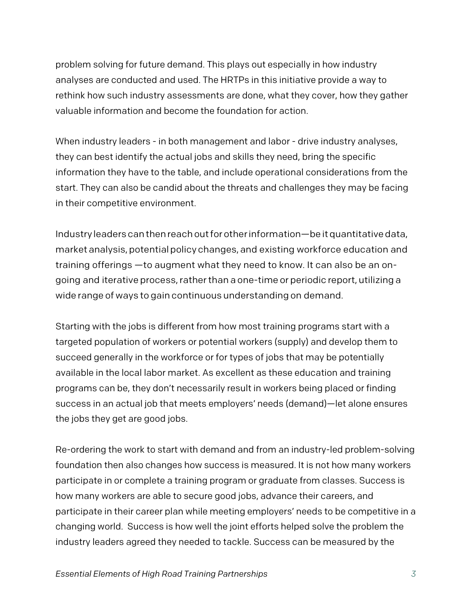problem solving for future demand. This plays out especially in how industry analyses are conducted and used. The HRTPs in this initiative provide a way to rethink how such industry assessments are done, what they cover, how they gather valuable information and become the foundation for action.

When industry leaders - in both management and labor - drive industry analyses, they can best identify the actual jobs and skills they need, bring the specific information they have to the table, and include operational considerations from the start. They can also be candid about the threats and challenges they may be facing in their competitive environment.

Industry leaders canthenreachoutforotherinformation—be itquantitativedata, market analysis, potential policy changes, and existing workforce education and training offerings —to augment what they need to know. It can also be an ongoing and iterative process,ratherthan a one-time or periodic report, utilizing a wide range of ways to gain continuous understanding on demand.

Starting with the jobs is different from how most training programs start with a targeted population of workers or potential workers (supply) and develop them to succeed generally in the workforce or for types of jobs that may be potentially available in the local labor market. As excellent as these education and training programs can be, they don't necessarily result in workers being placed or finding success in an actual job that meets employers' needs (demand)—let alone ensures the jobs they get are good jobs.

Re-ordering the work to start with demand and from an industry-led problem-solving foundation then also changes how success is measured. It is not how many workers participate in or complete a training program or graduate from classes. Success is how many workers are able to secure good jobs, advance their careers, and participate in their career plan while meeting employers' needs to be competitive in a changing world. Success is how well the joint efforts helped solve the problem the industry leaders agreed they needed to tackle. Success can be measured by the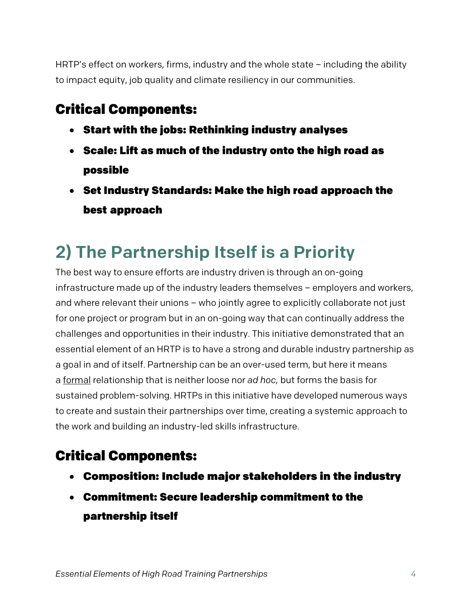HRTP's effect on workers, firms, industry and the whole state – including the ability to impact equity, job quality and climate resiliency in our communities.

#### Critical Components:

- Start with the jobs: Rethinking industry analyses
- Scale: Lift as much of the industry onto the high road as possible
- Set Industry Standards: Make the high road approach the best approach

## 2) The Partnership Itself is a Priority

The best way to ensure efforts are industry driven is through an on-going infrastructure made up of the industry leaders themselves – employers and workers, and where relevant their unions – who jointly agree to explicitly collaborate not just for one project or program but in an on-going way that can continually address the challenges and opportunities in their industry. This initiative demonstrated that an essential element of an HRTP is to have a strong and durable industry partnership as a goal in and of itself. Partnership can be an over-used term, but here it means a formal relationship that is neither loose nor *ad hoc,* but forms the basis for sustained problem-solving. HRTPs in this initiative have developed numerous ways to create and sustain their partnerships over time, creating a systemic approach to the work and building an industry-led skills infrastructure.

### Critical Components:

- Composition: Include major stakeholders in the industry
- Commitment: Secure leadership commitment to the partnership itself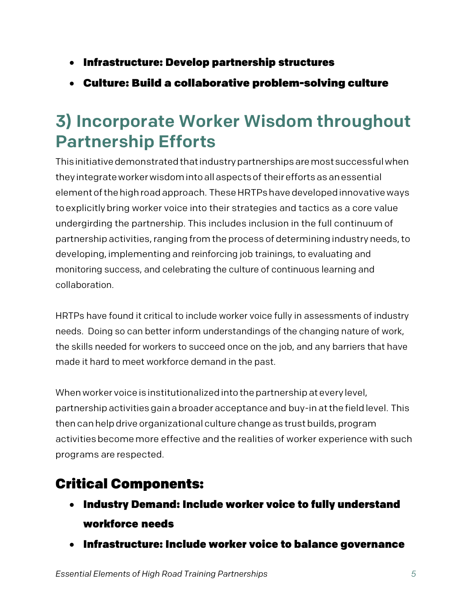- Infrastructure: Develop partnership structures
- Culture: Build a collaborative problem-solving culture

## 3) Incorporate Worker Wisdom throughout Partnership Efforts

Thisinitiativedemonstratedthatindustrypartnershipsaremostsuccessfulwhen they integrateworkerwisdomintoallaspectsof their effortsasanessential elementofthehighroadapproach. TheseHRTPshavedevelopedinnovativeways toexplicitlybring worker voice into their strategies and tactics as a core value undergirding the partnership. This includes inclusion in the full continuum of partnership activities, ranging from the process of determining industry needs, to developing, implementing and reinforcing job trainings, to evaluating and monitoring success, and celebrating the culture of continuous learning and collaboration.

HRTPs have found it critical to include worker voice fully in assessments of industry needs. Doing so can better inform understandings of the changing nature of work, the skills needed for workers to succeed once on the job, and any barriers that have made it hard to meet workforce demand in the past.

When worker voice is institutionalized into the partnership at every level, partnershipactivities gainabroader acceptance and buy-inatthe fieldlevel. This then canhelpdrive organizational culture change as trustbuilds, program activities becomemore effective and the realities of worker experience with such programs are respected.

#### Critical Components:

- Industry Demand: Include worker voice to fully understand workforce needs
- Infrastructure: Include worker voice to balance governance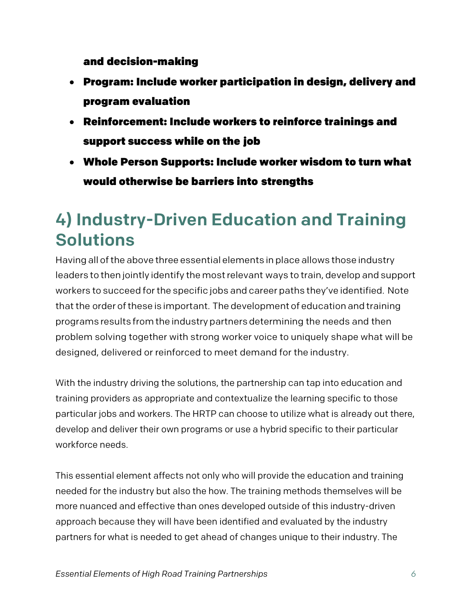and decision-making

- Program: Include worker participation in design, delivery and program evaluation
- Reinforcement: Include workers to reinforce trainings and support success while on the job
- Whole Person Supports: Include worker wisdom to turn what would otherwise be barriers into strengths

### 4) Industry-Driven Education and Training Solutions

Having all of the above three essential elements in place allows those industry leaders to then jointly identify the mostrelevant ways to train, develop and support workers to succeed forthe specific jobs and career paths they've identified. Note that the order of these is important. The development of education and training programs results fromthe industry partners determining the needs and then problem solving together with strong worker voice to uniquely shape what will be designed, delivered or reinforced to meet demand for the industry.

With the industry driving the solutions, the partnership can tap into education and training providers as appropriate and contextualize the learning specific to those particular jobs and workers. The HRTP can choose to utilize what is already out there, develop and deliver their own programs or use a hybrid specific to their particular workforce needs.

This essential element affects not only who will provide the education and training needed for the industry but also the how. The training methods themselves will be more nuanced and effective than ones developed outside of this industry-driven approach because they will have been identified and evaluated by the industry partners for what is needed to get ahead of changes unique to their industry. The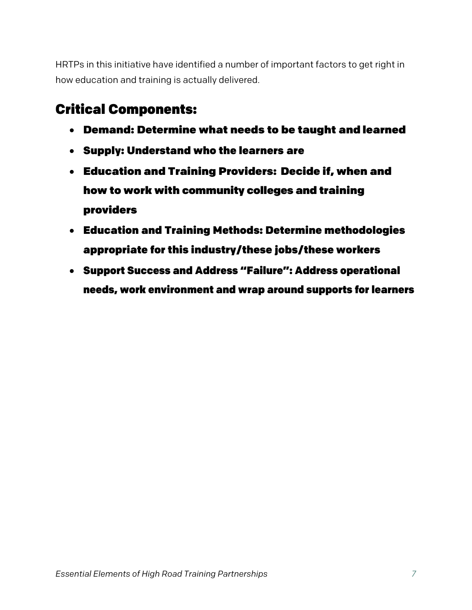HRTPs in this initiative have identified a number of important factors to get right in how education and training is actually delivered.

#### Critical Components:

- Demand: Determine what needs to be taught and learned
- Supply: Understand who the learners are
- Education and Training Providers: Decide if, when and how to work with community colleges and training providers
- Education and Training Methods: Determine methodologies appropriate for this industry/these jobs/these workers
- Support Success and Address "Failure": Address operational needs, work environment and wrap around supports for learners